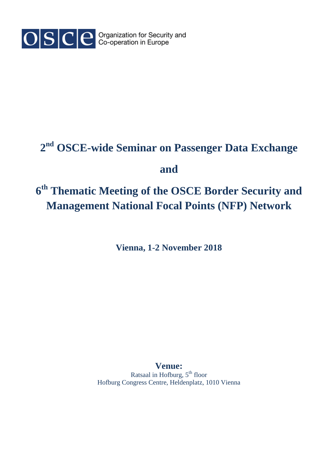

## **2 nd OSCE-wide Seminar on Passenger Data Exchange**

## **and**

## **6 th Thematic Meeting of the OSCE Border Security and Management National Focal Points (NFP) Network**

**Vienna, 1-2 November 2018**

**Venue:**  Ratsaal in Hofburg,  $5<sup>th</sup>$  floor Hofburg Congress Centre, Heldenplatz, 1010 Vienna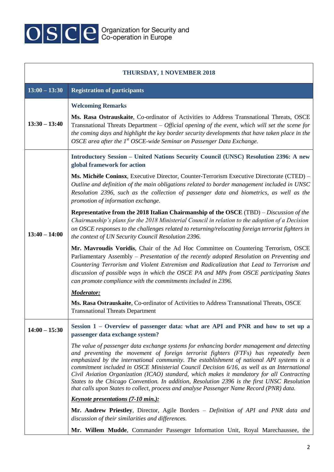

| <b>THURSDAY, 1 NOVEMBER 2018</b> |                                                                                                                                                                                                                                                                                                                                                                                                                                                                                                                                                                                                                                                                       |  |
|----------------------------------|-----------------------------------------------------------------------------------------------------------------------------------------------------------------------------------------------------------------------------------------------------------------------------------------------------------------------------------------------------------------------------------------------------------------------------------------------------------------------------------------------------------------------------------------------------------------------------------------------------------------------------------------------------------------------|--|
| $13:00 - 13:30$                  | <b>Registration of participants</b>                                                                                                                                                                                                                                                                                                                                                                                                                                                                                                                                                                                                                                   |  |
|                                  | <b>Welcoming Remarks</b>                                                                                                                                                                                                                                                                                                                                                                                                                                                                                                                                                                                                                                              |  |
| $13:30 - 13:40$                  | Ms. Rasa Ostrauskaite, Co-ordinator of Activities to Address Transnational Threats, OSCE<br>Transnational Threats Department $-$ Official opening of the event, which will set the scene for<br>the coming days and highlight the key border security developments that have taken place in the<br>OSCE area after the $1^{st}$ OSCE-wide Seminar on Passenger Data Exchange.                                                                                                                                                                                                                                                                                         |  |
|                                  | Introductory Session - United Nations Security Council (UNSC) Resolution 2396: A new<br>global framework for action                                                                                                                                                                                                                                                                                                                                                                                                                                                                                                                                                   |  |
| $13:40 - 14:00$                  | Ms. Michèle Coninsx, Executive Director, Counter-Terrorism Executive Directorate (CTED) –<br>Outline and definition of the main obligations related to border management included in UNSC<br>Resolution 2396, such as the collection of passenger data and biometrics, as well as the<br>promotion of information exchange.                                                                                                                                                                                                                                                                                                                                           |  |
|                                  | Representative from the 2018 Italian Chairmanship of the OSCE (TBD) – Discussion of the<br>Chairmanship's plans for the 2018 Ministerial Council in relation to the adoption of a Decision<br>on OSCE responses to the challenges related to returning/relocating foreign terrorist fighters in<br>the context of UN Security Council Resolution 2396.                                                                                                                                                                                                                                                                                                                |  |
|                                  | Mr. Mavroudis Voridis, Chair of the Ad Hoc Committee on Countering Terrorism, OSCE<br>Parliamentary Assembly - Presentation of the recently adopted Resolution on Preventing and<br>Countering Terrorism and Violent Extremism and Radicalization that Lead to Terrorism and<br>discussion of possible ways in which the OSCE PA and MPs from OSCE participating States<br>can promote compliance with the commitments included in 2396.                                                                                                                                                                                                                              |  |
|                                  | <b>Moderator:</b>                                                                                                                                                                                                                                                                                                                                                                                                                                                                                                                                                                                                                                                     |  |
|                                  | Ms. Rasa Ostrauskaite, Co-ordinator of Activities to Address Transnational Threats, OSCE<br><b>Transnational Threats Department</b>                                                                                                                                                                                                                                                                                                                                                                                                                                                                                                                                   |  |
| $14:00 - 15:30$                  | Session 1 – Overview of passenger data: what are API and PNR and how to set up a<br>passenger data exchange system?                                                                                                                                                                                                                                                                                                                                                                                                                                                                                                                                                   |  |
|                                  | The value of passenger data exchange systems for enhancing border management and detecting<br>and preventing the movement of foreign terrorist fighters (FTFs) has repeatedly been<br>emphasized by the international community. The establishment of national API systems is a<br>commitment included in OSCE Ministerial Council Decision 6/16, as well as an International<br>Civil Aviation Organization (ICAO) standard, which makes it mandatory for all Contracting<br>States to the Chicago Convention. In addition, Resolution 2396 is the first UNSC Resolution<br>that calls upon States to collect, process and analyse Passenger Name Record (PNR) data. |  |
|                                  | <u><i>Keynote presentations (7-10 min.):</i></u>                                                                                                                                                                                                                                                                                                                                                                                                                                                                                                                                                                                                                      |  |
|                                  | Mr. Andrew Priestley, Director, Agile Borders – Definition of API and PNR data and<br>discussion of their similarities and differences.                                                                                                                                                                                                                                                                                                                                                                                                                                                                                                                               |  |
|                                  | Mr. Willem Mudde, Commander Passenger Information Unit, Royal Marechaussee, the                                                                                                                                                                                                                                                                                                                                                                                                                                                                                                                                                                                       |  |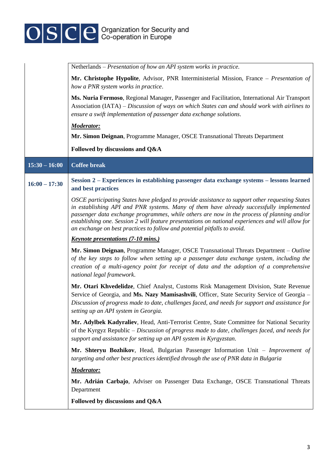

|                 | Netherlands - Presentation of how an API system works in practice.                                                                                                                                                                                                                                                                                                                                                                                                        |
|-----------------|---------------------------------------------------------------------------------------------------------------------------------------------------------------------------------------------------------------------------------------------------------------------------------------------------------------------------------------------------------------------------------------------------------------------------------------------------------------------------|
|                 | Mr. Christophe Hypolite, Advisor, PNR Interministerial Mission, France - Presentation of<br>how a PNR system works in practice.                                                                                                                                                                                                                                                                                                                                           |
|                 | Ms. Nuria Fermoso, Regional Manager, Passenger and Facilitation, International Air Transport<br>Association (IATA) – Discussion of ways on which States can and should work with airlines to<br>ensure a swift implementation of passenger data exchange solutions.                                                                                                                                                                                                       |
|                 | <b>Moderator:</b>                                                                                                                                                                                                                                                                                                                                                                                                                                                         |
|                 | Mr. Simon Deignan, Programme Manager, OSCE Transnational Threats Department                                                                                                                                                                                                                                                                                                                                                                                               |
|                 | Followed by discussions and Q&A                                                                                                                                                                                                                                                                                                                                                                                                                                           |
| $15:30 - 16:00$ | <b>Coffee break</b>                                                                                                                                                                                                                                                                                                                                                                                                                                                       |
| $16:00 - 17:30$ | Session 2 – Experiences in establishing passenger data exchange systems – lessons learned<br>and best practices                                                                                                                                                                                                                                                                                                                                                           |
|                 | OSCE participating States have pledged to provide assistance to support other requesting States<br>in establishing API and PNR systems. Many of them have already successfully implemented<br>passenger data exchange programmes, while others are now in the process of planning and/or<br>establishing one. Session 2 will feature presentations on national experiences and will allow for<br>an exchange on best practices to follow and potential pitfalls to avoid. |
|                 | <b>Keynote presentations (7-10 mins.)</b>                                                                                                                                                                                                                                                                                                                                                                                                                                 |
|                 | Mr. Simon Deignan, Programme Manager, OSCE Transnational Threats Department – Outline<br>of the key steps to follow when setting up a passenger data exchange system, including the<br>creation of a multi-agency point for receipt of data and the adoption of a comprehensive<br>national legal framework.                                                                                                                                                              |
|                 | Mr. Otari Khvedelidze, Chief Analyst, Customs Risk Management Division, State Revenue<br>Service of Georgia, and Ms. Nazy Mamisashvili, Officer, State Security Service of Georgia -<br>Discussion of progress made to date, challenges faced, and needs for support and assistance for<br>setting up an API system in Georgia.                                                                                                                                           |
|                 | Mr. Adylbek Kadyraliev, Head, Anti-Terrorist Centre, State Committee for National Security<br>of the Kyrgyz Republic – Discussion of progress made to date, challenges faced, and needs for<br>support and assistance for setting up an API system in Kyrgyzstan.                                                                                                                                                                                                         |
|                 | Mr. Shteryu Bozhikov, Head, Bulgarian Passenger Information Unit – Improvement of<br>targeting and other best practices identified through the use of PNR data in Bulgaria                                                                                                                                                                                                                                                                                                |
|                 | <b>Moderator:</b>                                                                                                                                                                                                                                                                                                                                                                                                                                                         |
|                 | Mr. Adrián Carbajo, Adviser on Passenger Data Exchange, OSCE Transnational Threats<br>Department                                                                                                                                                                                                                                                                                                                                                                          |
|                 | Followed by discussions and Q&A                                                                                                                                                                                                                                                                                                                                                                                                                                           |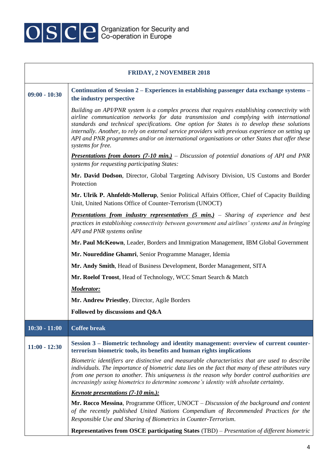

| <b>FRIDAY, 2 NOVEMBER 2018</b> |                                                                                                                                                                                                                                                                                                                                                                                                                                                                                                                 |  |
|--------------------------------|-----------------------------------------------------------------------------------------------------------------------------------------------------------------------------------------------------------------------------------------------------------------------------------------------------------------------------------------------------------------------------------------------------------------------------------------------------------------------------------------------------------------|--|
| $09:00 - 10:30$                | Continuation of Session 2 – Experiences in establishing passenger data exchange systems –<br>the industry perspective                                                                                                                                                                                                                                                                                                                                                                                           |  |
|                                | Building an API/PNR system is a complex process that requires establishing connectivity with<br>airline communication networks for data transmission and complying with international<br>standards and technical specifications. One option for States is to develop these solutions<br>internally. Another, to rely on external service providers with previous experience on setting up<br>API and PNR programmes and/or on international organisations or other States that offer these<br>systems for free. |  |
|                                | <b>Presentations from donors (7-10 min.)</b> – Discussion of potential donations of API and PNR<br>systems for requesting participating States:                                                                                                                                                                                                                                                                                                                                                                 |  |
|                                | Mr. David Dodson, Director, Global Targeting Advisory Division, US Customs and Border<br>Protection                                                                                                                                                                                                                                                                                                                                                                                                             |  |
|                                | Mr. Ulrik P. Ahnfeldt-Mollerup, Senior Political Affairs Officer, Chief of Capacity Building<br>Unit, United Nations Office of Counter-Terrorism (UNOCT)                                                                                                                                                                                                                                                                                                                                                        |  |
|                                | <b>Presentations from industry representatives (5 min.)</b> – Sharing of experience and best<br>practices in establishing connectivity between government and airlines' systems and in bringing<br>API and PNR systems online                                                                                                                                                                                                                                                                                   |  |
|                                | Mr. Paul McKeown, Leader, Borders and Immigration Management, IBM Global Government                                                                                                                                                                                                                                                                                                                                                                                                                             |  |
|                                | Mr. Noureddine Ghamri, Senior Programme Manager, Idemia                                                                                                                                                                                                                                                                                                                                                                                                                                                         |  |
|                                | Mr. Andy Smith, Head of Business Development, Border Management, SITA                                                                                                                                                                                                                                                                                                                                                                                                                                           |  |
|                                | Mr. Roelof Troost, Head of Technology, WCC Smart Search & Match                                                                                                                                                                                                                                                                                                                                                                                                                                                 |  |
|                                | <b>Moderator:</b>                                                                                                                                                                                                                                                                                                                                                                                                                                                                                               |  |
|                                | Mr. Andrew Priestley, Director, Agile Borders                                                                                                                                                                                                                                                                                                                                                                                                                                                                   |  |
|                                | Followed by discussions and Q&A                                                                                                                                                                                                                                                                                                                                                                                                                                                                                 |  |
| $10:30 - 11:00$                | <b>Coffee break</b>                                                                                                                                                                                                                                                                                                                                                                                                                                                                                             |  |
| $11:00 - 12:30$                | Session 3 – Biometric technology and identity management: overview of current counter-<br>terrorism biometric tools, its benefits and human rights implications                                                                                                                                                                                                                                                                                                                                                 |  |
|                                | Biometric identifiers are distinctive and measurable characteristics that are used to describe<br>individuals. The importance of biometric data lies on the fact that many of these attributes vary<br>from one person to another. This uniqueness is the reason why border control authorities are<br>increasingly using biometrics to determine someone's identity with absolute certainty.                                                                                                                   |  |
|                                | <u><i>Keynote presentations (7-10 min.):</i></u>                                                                                                                                                                                                                                                                                                                                                                                                                                                                |  |
|                                | Mr. Rocco Messina, Programme Officer, UNOCT – Discussion of the background and content<br>of the recently published United Nations Compendium of Recommended Practices for the<br>Responsible Use and Sharing of Biometrics in Counter-Terrorism.                                                                                                                                                                                                                                                               |  |
|                                | <b>Representatives from OSCE participating States</b> (TBD) – Presentation of different biometric                                                                                                                                                                                                                                                                                                                                                                                                               |  |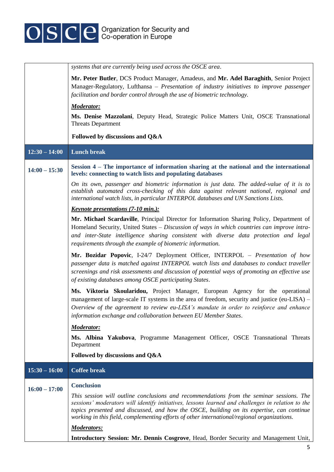

|                 | systems that are currently being used across the OSCE area.                                                                                                                                                                                                                                                                                                                               |
|-----------------|-------------------------------------------------------------------------------------------------------------------------------------------------------------------------------------------------------------------------------------------------------------------------------------------------------------------------------------------------------------------------------------------|
|                 | Mr. Peter Butler, DCS Product Manager, Amadeus, and Mr. Adel Baraghith, Senior Project<br>Manager-Regulatory, Lufthansa - Presentation of industry initiatives to improve passenger<br>facilitation and border control through the use of biometric technology.                                                                                                                           |
|                 | <b>Moderator:</b>                                                                                                                                                                                                                                                                                                                                                                         |
|                 | Ms. Denise Mazzolani, Deputy Head, Strategic Police Matters Unit, OSCE Transnational<br><b>Threats Department</b>                                                                                                                                                                                                                                                                         |
|                 | Followed by discussions and Q&A                                                                                                                                                                                                                                                                                                                                                           |
| $12:30 - 14:00$ | <b>Lunch break</b>                                                                                                                                                                                                                                                                                                                                                                        |
| $14:00 - 15:30$ | Session 4 – The importance of information sharing at the national and the international<br>levels: connecting to watch lists and populating databases                                                                                                                                                                                                                                     |
|                 | On its own, passenger and biometric information is just data. The added-value of it is to<br>establish automated cross-checking of this data against relevant national, regional and<br>international watch lists, in particular INTERPOL databases and UN Sanctions Lists.                                                                                                               |
|                 | <b>Keynote presentations (7-10 min.):</b>                                                                                                                                                                                                                                                                                                                                                 |
|                 | Mr. Michael Scardaville, Principal Director for Information Sharing Policy, Department of<br>Homeland Security, United States – Discussion of ways in which countries can improve intra-<br>and inter-State intelligence sharing consistent with diverse data protection and legal<br>requirements through the example of biometric information.                                          |
|                 | Mr. Bozidar Popovic, I-24/7 Deployment Officer, INTERPOL - Presentation of how<br>passenger data is matched against INTERPOL watch lists and databases to conduct traveller<br>screenings and risk assessments and discussion of potential ways of promoting an effective use<br>of existing databases among OSCE participating States.                                                   |
|                 | Ms. Viktoria Skoularidou, Project Manager, European Agency for the operational<br>management of large-scale IT systems in the area of freedom, security and justice (eu-LISA) –<br>Overview of the agreement to review eu-LISA's mandate in order to reinforce and enhance<br>information exchange and collaboration between EU Member States.                                            |
|                 | <b>Moderator:</b>                                                                                                                                                                                                                                                                                                                                                                         |
|                 | Ms. Albina Yakubova, Programme Management Officer, OSCE Transnational Threats<br>Department                                                                                                                                                                                                                                                                                               |
|                 | Followed by discussions and Q&A                                                                                                                                                                                                                                                                                                                                                           |
| $15:30 - 16:00$ | <b>Coffee break</b>                                                                                                                                                                                                                                                                                                                                                                       |
| $16:00 - 17:00$ | <b>Conclusion</b>                                                                                                                                                                                                                                                                                                                                                                         |
|                 | This session will outline conclusions and recommendations from the seminar sessions. The<br>sessions' moderators will identify initiatives, lessons learned and challenges in relation to the<br>topics presented and discussed, and how the OSCE, building on its expertise, can continue<br>working in this field, complementing efforts of other international/regional organizations. |
|                 | <b>Moderators:</b>                                                                                                                                                                                                                                                                                                                                                                        |
|                 | Introductory Session: Mr. Dennis Cosgrove, Head, Border Security and Management Unit,                                                                                                                                                                                                                                                                                                     |